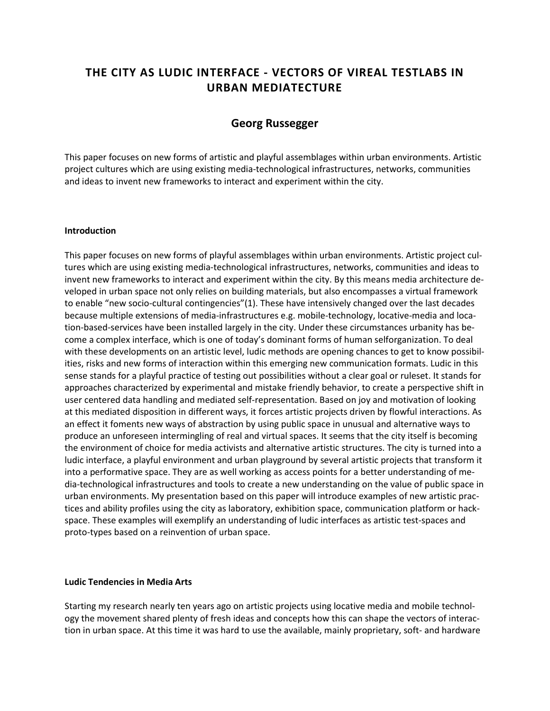# **THE CITY AS LUDIC INTERFACE - VECTORS OF VIREAL TESTLABS IN URBAN MEDIATECTURE**

# **Georg Russegger**

This paper focuses on new forms of artistic and playful assemblages within urban environments. Artistic project cultures which are using existing media-technological infrastructures, networks, communities and ideas to invent new frameworks to interact and experiment within the city.

#### **Introduction**

This paper focuses on new forms of playful assemblages within urban environments. Artistic project cultures which are using existing media-technological infrastructures, networks, communities and ideas to invent new frameworks to interact and experiment within the city. By this means media architecture developed in urban space not only relies on building materials, but also encompasses a virtual framework to enable "new socio-cultural contingencies"(1). These have intensively changed over the last decades because multiple extensions of media-infrastructures e.g. mobile-technology, locative-media and location-based-services have been installed largely in the city. Under these circumstances urbanity has become a complex interface, which is one of today's dominant forms of human selforganization. To deal with these developments on an artistic level, ludic methods are opening chances to get to know possibilities, risks and new forms of interaction within this emerging new communication formats. Ludic in this sense stands for a playful practice of testing out possibilities without a clear goal or ruleset. It stands for approaches characterized by experimental and mistake friendly behavior, to create a perspective shift in user centered data handling and mediated self-representation. Based on joy and motivation of looking at this mediated disposition in different ways, it forces artistic projects driven by flowful interactions. As an effect it foments new ways of abstraction by using public space in unusual and alternative ways to produce an unforeseen intermingling of real and virtual spaces. It seems that the city itself is becoming the environment of choice for media activists and alternative artistic structures. The city is turned into a ludic interface, a playful environment and urban playground by several artistic projects that transform it into a performative space. They are as well working as access points for a better understanding of media-technological infrastructures and tools to create a new understanding on the value of public space in urban environments. My presentation based on this paper will introduce examples of new artistic practices and ability profiles using the city as laboratory, exhibition space, communication platform or hackspace. These examples will exemplify an understanding of ludic interfaces as artistic test-spaces and proto-types based on a reinvention of urban space.

#### **Ludic Tendencies in Media Arts**

Starting my research nearly ten years ago on artistic projects using locative media and mobile technology the movement shared plenty of fresh ideas and concepts how this can shape the vectors of interaction in urban space. At this time it was hard to use the available, mainly proprietary, soft- and hardware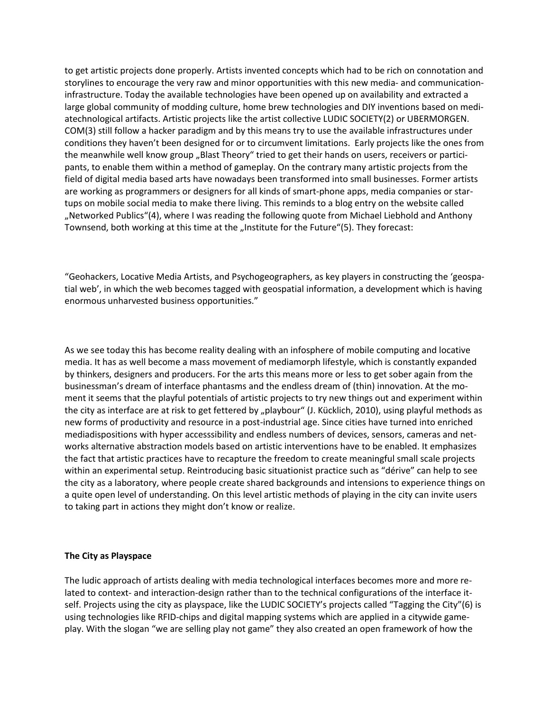to get artistic projects done properly. Artists invented concepts which had to be rich on connotation and storylines to encourage the very raw and minor opportunities with this new media- and communicationinfrastructure. Today the available technologies have been opened up on availability and extracted a large global community of modding culture, home brew technologies and DIY inventions based on mediatechnological artifacts. Artistic projects like the artist collective LUDIC SOCIETY(2) or UBERMORGEN. COM(3) still follow a hacker paradigm and by this means try to use the available infrastructures under conditions they haven't been designed for or to circumvent limitations. Early projects like the ones from the meanwhile well know group "Blast Theory" tried to get their hands on users, receivers or participants, to enable them within a method of gameplay. On the contrary many artistic projects from the field of digital media based arts have nowadays been transformed into small businesses. Former artists are working as programmers or designers for all kinds of smart-phone apps, media companies or startups on mobile social media to make there living. This reminds to a blog entry on the website called "Networked Publics"(4), where I was reading the following quote from Michael Liebhold and Anthony Townsend, both working at this time at the "Institute for the Future"(5). They forecast:

"Geohackers, Locative Media Artists, and Psychogeographers, as key players in constructing the 'geospatial web', in which the web becomes tagged with geospatial information, a development which is having enormous unharvested business opportunities."

As we see today this has become reality dealing with an infosphere of mobile computing and locative media. It has as well become a mass movement of mediamorph lifestyle, which is constantly expanded by thinkers, designers and producers. For the arts this means more or less to get sober again from the businessman's dream of interface phantasms and the endless dream of (thin) innovation. At the moment it seems that the playful potentials of artistic projects to try new things out and experiment within the city as interface are at risk to get fettered by "playbour" (J. Kücklich, 2010), using playful methods as new forms of productivity and resource in a post-industrial age. Since cities have turned into enriched mediadispositions with hyper accesssibility and endless numbers of devices, sensors, cameras and networks alternative abstraction models based on artistic interventions have to be enabled. It emphasizes the fact that artistic practices have to recapture the freedom to create meaningful small scale projects within an experimental setup. Reintroducing basic situationist practice such as "dérive" can help to see the city as a laboratory, where people create shared backgrounds and intensions to experience things on a quite open level of understanding. On this level artistic methods of playing in the city can invite users to taking part in actions they might don't know or realize.

## **The City as Playspace**

The ludic approach of artists dealing with media technological interfaces becomes more and more related to context- and interaction-design rather than to the technical configurations of the interface itself. Projects using the city as playspace, like the LUDIC SOCIETY's projects called "Tagging the City"(6) is using technologies like RFID-chips and digital mapping systems which are applied in a citywide gameplay. With the slogan "we are selling play not game" they also created an open framework of how the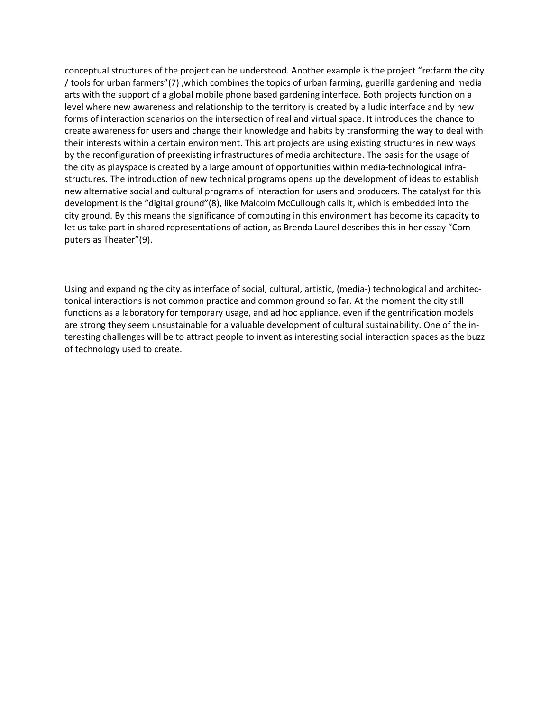conceptual structures of the project can be understood. Another example is the project "re:farm the city / tools for urban farmers"(7) ,which combines the topics of urban farming, guerilla gardening and media arts with the support of a global mobile phone based gardening interface. Both projects function on a level where new awareness and relationship to the territory is created by a ludic interface and by new forms of interaction scenarios on the intersection of real and virtual space. It introduces the chance to create awareness for users and change their knowledge and habits by transforming the way to deal with their interests within a certain environment. This art projects are using existing structures in new ways by the reconfiguration of preexisting infrastructures of media architecture. The basis for the usage of the city as playspace is created by a large amount of opportunities within media-technological infrastructures. The introduction of new technical programs opens up the development of ideas to establish new alternative social and cultural programs of interaction for users and producers. The catalyst for this development is the "digital ground"(8), like Malcolm McCullough calls it, which is embedded into the city ground. By this means the significance of computing in this environment has become its capacity to let us take part in shared representations of action, as Brenda Laurel describes this in her essay "Computers as Theater"(9).

Using and expanding the city as interface of social, cultural, artistic, (media-) technological and architectonical interactions is not common practice and common ground so far. At the moment the city still functions as a laboratory for temporary usage, and ad hoc appliance, even if the gentrification models are strong they seem unsustainable for a valuable development of cultural sustainability. One of the interesting challenges will be to attract people to invent as interesting social interaction spaces as the buzz of technology used to create.